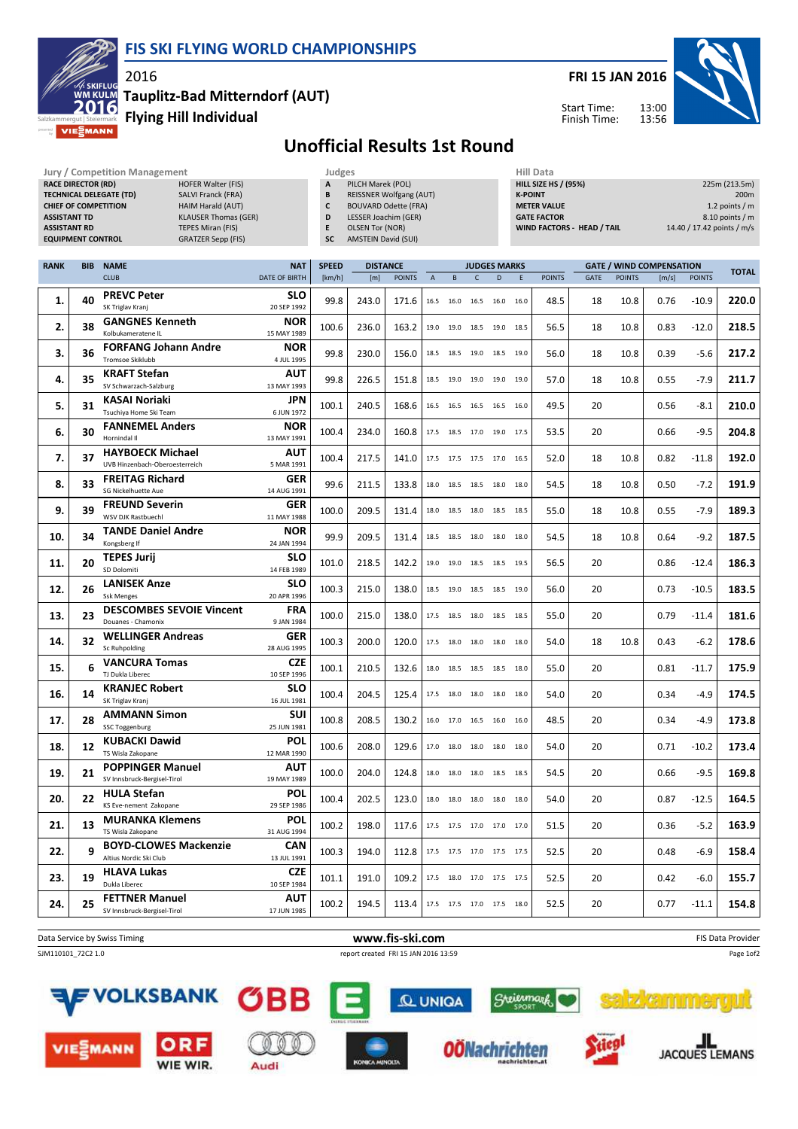



Start Time: Finish Time:



Tauplitz-Bad Mitterndorf (AUT)

Flying Hill Individual

2016

**MIE** 

## Unofficial Results 1st Round

| <b>Jury / Competition Management</b><br><b>RACE DIRECTOR (RD)</b><br><b>HOFER Walter (FIS)</b><br><b>TECHNICAL DELEGATE (TD)</b><br><b>SALVI Franck (FRA)</b><br><b>CHIEF OF COMPETITION</b><br>HAIM Harald (AUT)<br><b>ASSISTANT TD</b><br><b>KLAUSER Thomas (GER)</b><br><b>ASSISTANT RD</b><br><b>TEPES Miran (FIS)</b><br><b>EQUIPMENT CONTROL</b><br><b>GRATZER Sepp (FIS)</b> |            |                                                           |                                    |                | Judges<br>A<br>PILCH Marek (POL)<br><b>REISSNER Wolfgang (AUT)</b><br>B<br>c<br><b>BOUVARD Odette (FRA)</b><br>D<br>LESSER Joachim (GER)<br>E<br><b>OLSEN Tor (NOR)</b><br><b>AMSTEIN David (SUI)</b><br>SC |                        |                      |           |                              | <b>Hill Data</b><br><b>HILL SIZE HS / (95%)</b><br><b>K-POINT</b><br><b>METER VALUE</b><br><b>GATE FACTOR</b><br>WIND FACTORS - HEAD / TAIL<br>14.40 / 17.42 points / m/s |           |                       |                   |                       |                                 | 225m (213.5m)<br>200m<br>1.2 points $/m$<br>8.10 points / m |              |
|-------------------------------------------------------------------------------------------------------------------------------------------------------------------------------------------------------------------------------------------------------------------------------------------------------------------------------------------------------------------------------------|------------|-----------------------------------------------------------|------------------------------------|----------------|-------------------------------------------------------------------------------------------------------------------------------------------------------------------------------------------------------------|------------------------|----------------------|-----------|------------------------------|---------------------------------------------------------------------------------------------------------------------------------------------------------------------------|-----------|-----------------------|-------------------|-----------------------|---------------------------------|-------------------------------------------------------------|--------------|
| <b>RANK</b>                                                                                                                                                                                                                                                                                                                                                                         | <b>BIB</b> | <b>NAME</b>                                               | <b>NAT</b>                         | <b>SPEED</b>   | <b>DISTANCE</b>                                                                                                                                                                                             |                        |                      |           | <b>JUDGES MARKS</b>          |                                                                                                                                                                           |           |                       |                   |                       | <b>GATE / WIND COMPENSATION</b> |                                                             | <b>TOTAL</b> |
| 1.                                                                                                                                                                                                                                                                                                                                                                                  | 40         | <b>CLUB</b><br><b>PREVC Peter</b>                         | <b>DATE OF BIRTH</b><br><b>SLO</b> | [km/h]<br>99.8 | [m]<br>243.0                                                                                                                                                                                                | <b>POINTS</b><br>171.6 | $\mathsf{A}$<br>16.5 | B<br>16.0 | C<br>16.5 16.0               | D                                                                                                                                                                         | E<br>16.0 | <b>POINTS</b><br>48.5 | <b>GATE</b><br>18 | <b>POINTS</b><br>10.8 | [m/s]<br>0.76                   | <b>POINTS</b><br>$-10.9$                                    | 220.0        |
| 2.                                                                                                                                                                                                                                                                                                                                                                                  | 38         | SK Triglav Kranj<br><b>GANGNES Kenneth</b>                | 20 SEP 1992<br><b>NOR</b>          | 100.6          | 236.0                                                                                                                                                                                                       | 163.2                  | 19.0                 | 19.0      | 18.5 19.0                    |                                                                                                                                                                           | 18.5      | 56.5                  | 18                | 10.8                  | 0.83                            | $-12.0$                                                     | 218.5        |
|                                                                                                                                                                                                                                                                                                                                                                                     |            | Kolbukameratene IL<br><b>FORFANG Johann Andre</b>         | 15 MAY 1989<br><b>NOR</b>          |                |                                                                                                                                                                                                             |                        |                      |           |                              |                                                                                                                                                                           |           |                       |                   |                       |                                 |                                                             |              |
| З.                                                                                                                                                                                                                                                                                                                                                                                  | 36         | <b>Tromsoe Skiklubb</b>                                   | 4 JUL 1995                         | 99.8           | 230.0                                                                                                                                                                                                       | 156.0                  |                      |           | 18.5 18.5 19.0 18.5 19.0     |                                                                                                                                                                           |           | 56.0                  | 18                | 10.8                  | 0.39                            | $-5.6$                                                      | 217.2        |
| 4.                                                                                                                                                                                                                                                                                                                                                                                  | 35         | <b>KRAFT Stefan</b><br>SV Schwarzach-Salzburg             | AUT<br>13 MAY 1993                 | 99.8           | 226.5                                                                                                                                                                                                       | 151.8                  |                      |           | 18.5 19.0 19.0 19.0          |                                                                                                                                                                           | 19.0      | 57.0                  | 18                | 10.8                  | 0.55                            | $-7.9$                                                      | 211.7        |
| 5.                                                                                                                                                                                                                                                                                                                                                                                  | 31         | KASAI Noriaki<br>Tsuchiya Home Ski Team                   | JPN<br>6 JUN 1972                  | 100.1          | 240.5                                                                                                                                                                                                       | 168.6                  |                      | 16.5 16.5 | 16.5 16.5                    |                                                                                                                                                                           | 16.0      | 49.5                  | 20                |                       | 0.56                            | $-8.1$                                                      | 210.0        |
| 6.                                                                                                                                                                                                                                                                                                                                                                                  | 30         | <b>FANNEMEL Anders</b><br>Hornindal II                    | <b>NOR</b><br>13 MAY 1991          | 100.4          | 234.0                                                                                                                                                                                                       | 160.8                  |                      |           | 17.5 18.5 17.0 19.0 17.5     |                                                                                                                                                                           |           | 53.5                  | 20                |                       | 0.66                            | $-9.5$                                                      | 204.8        |
| 7.                                                                                                                                                                                                                                                                                                                                                                                  | 37         | <b>HAYBOECK Michael</b><br>UVB Hinzenbach-Oberoesterreich | <b>AUT</b><br>5 MAR 1991           | 100.4          | 217.5                                                                                                                                                                                                       | 141.0                  |                      |           | 17.5 17.5 17.5 17.0 16.5     |                                                                                                                                                                           |           | 52.0                  | 18                | 10.8                  | 0.82                            | $-11.8$                                                     | 192.0        |
| 8.                                                                                                                                                                                                                                                                                                                                                                                  | 33         | <b>FREITAG Richard</b><br>SG Nickelhuette Aue             | GER<br>14 AUG 1991                 | 99.6           | 211.5                                                                                                                                                                                                       | 133.8                  | 18.0                 | 18.5      | 18.5 18.0                    |                                                                                                                                                                           | 18.0      | 54.5                  | 18                | 10.8                  | 0.50                            | $-7.2$                                                      | 191.9        |
| 9.                                                                                                                                                                                                                                                                                                                                                                                  | 39         | <b>FREUND Severin</b><br>WSV DJK Rastbuechl               | GER<br>11 MAY 1988                 | 100.0          | 209.5                                                                                                                                                                                                       | 131.4                  |                      | 18.0 18.5 | 18.0 18.5                    |                                                                                                                                                                           | 18.5      | 55.0                  | 18                | 10.8                  | 0.55                            | $-7.9$                                                      | 189.3        |
| 10.                                                                                                                                                                                                                                                                                                                                                                                 | 34         | <b>TANDE Daniel Andre</b><br>Kongsberg If                 | <b>NOR</b><br>24 JAN 1994          | 99.9           | 209.5                                                                                                                                                                                                       | 131.4                  |                      | 18.5 18.5 | 18.0 18.0                    |                                                                                                                                                                           | 18.0      | 54.5                  | 18                | 10.8                  | 0.64                            | $-9.2$                                                      | 187.5        |
| 11.                                                                                                                                                                                                                                                                                                                                                                                 | 20         | <b>TEPES Jurij</b><br>SD Dolomiti                         | <b>SLO</b><br>14 FEB 1989          | 101.0          | 218.5                                                                                                                                                                                                       | 142.2                  |                      |           | 19.0 19.0 18.5 18.5 19.5     |                                                                                                                                                                           |           | 56.5                  | 20                |                       | 0.86                            | $-12.4$                                                     | 186.3        |
| 12.                                                                                                                                                                                                                                                                                                                                                                                 | 26         | <b>LANISEK Anze</b><br><b>Ssk Menges</b>                  | <b>SLO</b><br>20 APR 1996          | 100.3          | 215.0                                                                                                                                                                                                       | 138.0                  |                      |           | 18.5 19.0 18.5 18.5          |                                                                                                                                                                           | 19.0      | 56.0                  | 20                |                       | 0.73                            | $-10.5$                                                     | 183.5        |
| 13.                                                                                                                                                                                                                                                                                                                                                                                 | 23         | <b>DESCOMBES SEVOIE Vincent</b><br>Douanes - Chamonix     | <b>FRA</b><br>9 JAN 1984           | 100.0          | 215.0                                                                                                                                                                                                       | 138.0                  | 17.5                 | 18.5      | 18.0 18.5                    |                                                                                                                                                                           | 18.5      | 55.0                  | 20                |                       | 0.79                            | $-11.4$                                                     | 181.6        |
| 14.                                                                                                                                                                                                                                                                                                                                                                                 | 32         | <b>WELLINGER Andreas</b><br><b>Sc Ruhpolding</b>          | GER<br>28 AUG 1995                 | 100.3          | 200.0                                                                                                                                                                                                       | 120.0                  |                      |           | 17.5 18.0 18.0 18.0 18.0     |                                                                                                                                                                           |           | 54.0                  | 18                | 10.8                  | 0.43                            | $-6.2$                                                      | 178.6        |
| 15.                                                                                                                                                                                                                                                                                                                                                                                 | 6          | <b>VANCURA Tomas</b><br>TJ Dukla Liberec                  | <b>CZE</b><br>10 SEP 1996          | 100.1          | 210.5                                                                                                                                                                                                       | 132.6                  |                      |           | 18.0 18.5 18.5 18.5 18.0     |                                                                                                                                                                           |           | 55.0                  | 20                |                       | 0.81                            | $-11.7$                                                     | 175.9        |
| 16.                                                                                                                                                                                                                                                                                                                                                                                 | 14         | <b>KRANJEC Robert</b><br>SK Triglav Kranj                 | <b>SLO</b><br>16 JUL 1981          | 100.4          | 204.5                                                                                                                                                                                                       | 125.4                  |                      |           | 17.5 18.0 18.0 18.0          |                                                                                                                                                                           | 18.0      | 54.0                  | 20                |                       | 0.34                            | $-4.9$                                                      | 174.5        |
| 17.                                                                                                                                                                                                                                                                                                                                                                                 | 28         | <b>AMMANN Simon</b><br><b>SSC Toggenburg</b>              | <b>SUI</b><br>25 JUN 1981          | 100.8          | 208.5                                                                                                                                                                                                       | 130.2                  |                      |           | 16.0 17.0 16.5 16.0 16.0     |                                                                                                                                                                           |           | 48.5                  | 20                |                       | 0.34                            | $-4.9$                                                      | 173.8        |
| 18.                                                                                                                                                                                                                                                                                                                                                                                 | 12         | <b>KUBACKI Dawid</b><br>TS Wisla Zakopane                 | <b>POL</b><br>12 MAR 1990          | 100.6          | 208.0                                                                                                                                                                                                       | 129.6                  |                      |           | 17.0  18.0  18.0  18.0  18.0 |                                                                                                                                                                           |           | 54.0                  | 20                |                       | 0.71                            | $-10.2$                                                     | 173.4        |
| 19.                                                                                                                                                                                                                                                                                                                                                                                 | 21         | <b>POPPINGER Manuel</b><br>SV Innsbruck-Bergisel-Tirol    | <b>AUT</b><br>19 MAY 1989          | 100.0          | 204.0                                                                                                                                                                                                       | 124.8                  |                      |           | 18.0 18.0 18.0 18.5 18.5     |                                                                                                                                                                           |           | 54.5                  | 20                |                       | 0.66                            | $-9.5$                                                      | 169.8        |
| 20.                                                                                                                                                                                                                                                                                                                                                                                 | 22         | <b>HULA Stefan</b><br>KS Eve-nement Zakopane              | <b>POL</b><br>29 SEP 1986          | 100.4          | 202.5                                                                                                                                                                                                       | 123.0                  |                      |           | 18.0 18.0 18.0 18.0 18.0     |                                                                                                                                                                           |           | 54.0                  | 20                |                       | 0.87                            | $-12.5$                                                     | 164.5        |
| 21.                                                                                                                                                                                                                                                                                                                                                                                 | 13         | <b>MURANKA Klemens</b><br>TS Wisla Zakopane               | <b>POL</b><br>31 AUG 1994          | 100.2          | 198.0                                                                                                                                                                                                       | 117.6                  |                      |           | 17.5 17.5 17.0 17.0 17.0     |                                                                                                                                                                           |           | 51.5                  | 20                |                       | 0.36                            | $-5.2$                                                      | 163.9        |
| 22.                                                                                                                                                                                                                                                                                                                                                                                 | 9          | <b>BOYD-CLOWES Mackenzie</b><br>Altius Nordic Ski Club    | <b>CAN</b><br>13 JUL 1991          | 100.3          | 194.0                                                                                                                                                                                                       | 112.8                  |                      |           | 17.5 17.5 17.0 17.5 17.5     |                                                                                                                                                                           |           | 52.5                  | 20                |                       | 0.48                            | $-6.9$                                                      | 158.4        |
| 23.                                                                                                                                                                                                                                                                                                                                                                                 | 19         | <b>HLAVA Lukas</b><br>Dukla Liberec                       | <b>CZE</b>                         | 101.1          | 191.0                                                                                                                                                                                                       | 109.2                  |                      |           | 17.5 18.0 17.0 17.5 17.5     |                                                                                                                                                                           |           | 52.5                  | 20                |                       | 0.42                            | $-6.0$                                                      | 155.7        |
| 24.                                                                                                                                                                                                                                                                                                                                                                                 | 25         | <b>FETTNER Manuel</b>                                     | 10 SEP 1984<br><b>AUT</b>          | 100.2          | 194.5                                                                                                                                                                                                       | 113.4                  |                      |           | 17.5 17.5 17.0 17.5 18.0     |                                                                                                                                                                           |           | 52.5                  | 20                |                       | 0.77                            | $-11.1$                                                     | 154.8        |
|                                                                                                                                                                                                                                                                                                                                                                                     |            | SV Innsbruck-Bergisel-Tirol                               | 17 JUN 1985                        |                |                                                                                                                                                                                                             |                        |                      |           |                              |                                                                                                                                                                           |           |                       |                   |                       |                                 |                                                             |              |